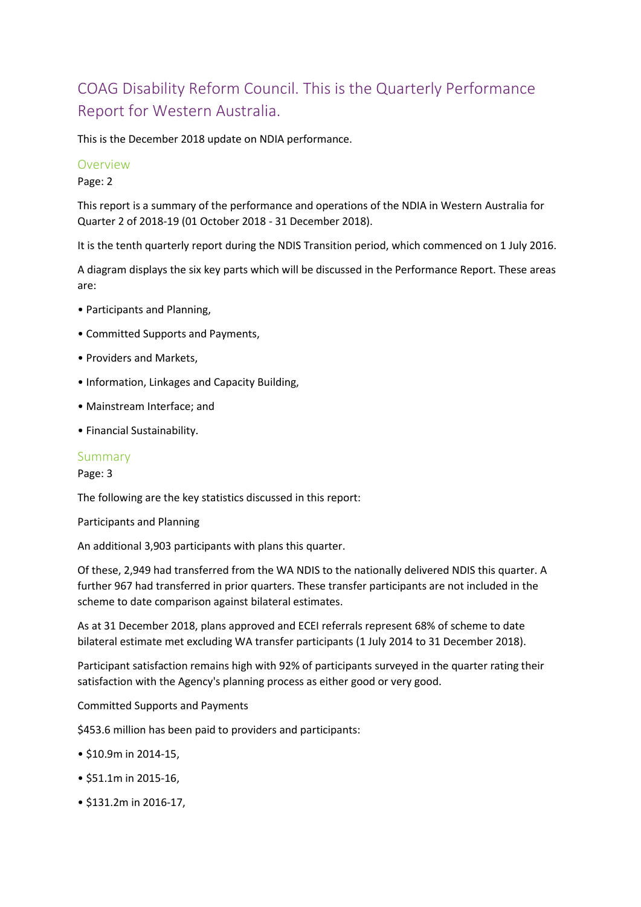# COAG Disability Reform Council. This is the Quarterly Performance Report for Western Australia.

This is the December 2018 update on NDIA performance.

#### Overview

Page: 2

This report is a summary of the performance and operations of the NDIA in Western Australia for Quarter 2 of 2018-19 (01 October 2018 - 31 December 2018).

It is the tenth quarterly report during the NDIS Transition period, which commenced on 1 July 2016.

A diagram displays the six key parts which will be discussed in the Performance Report. These areas are:

- Participants and Planning,
- Committed Supports and Payments,
- Providers and Markets,
- Information, Linkages and Capacity Building,
- Mainstream Interface; and
- Financial Sustainability.

#### Summary

Page: 3

The following are the key statistics discussed in this report:

Participants and Planning

An additional 3,903 participants with plans this quarter.

Of these, 2,949 had transferred from the WA NDIS to the nationally delivered NDIS this quarter. A further 967 had transferred in prior quarters. These transfer participants are not included in the scheme to date comparison against bilateral estimates.

As at 31 December 2018, plans approved and ECEI referrals represent 68% of scheme to date bilateral estimate met excluding WA transfer participants (1 July 2014 to 31 December 2018).

Participant satisfaction remains high with 92% of participants surveyed in the quarter rating their satisfaction with the Agency's planning process as either good or very good.

Committed Supports and Payments

\$453.6 million has been paid to providers and participants:

- \$10.9m in 2014-15,
- \$51.1m in 2015-16,
- \$131.2m in 2016-17,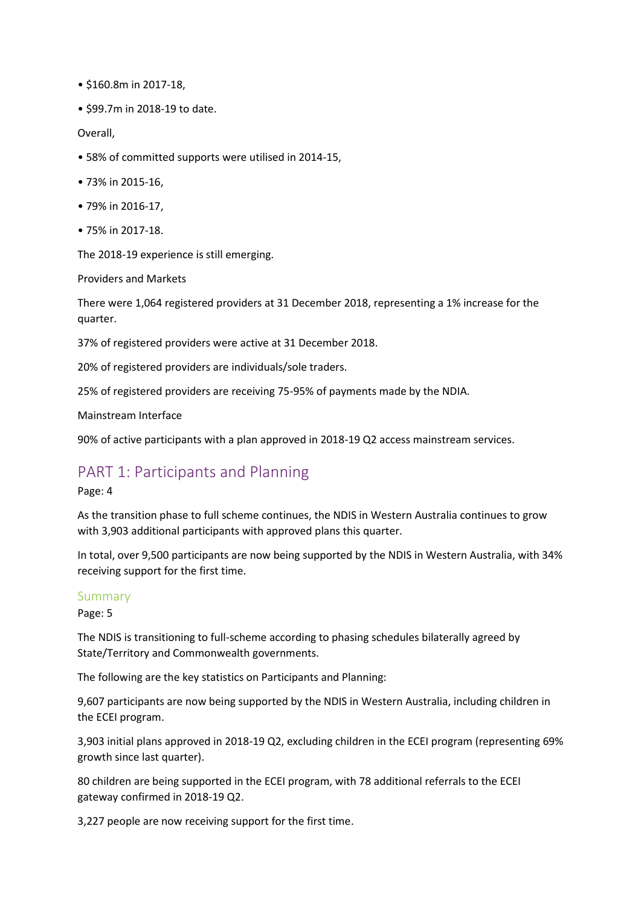- \$160.8m in 2017-18,
- \$99.7m in 2018-19 to date.

Overall,

- 58% of committed supports were utilised in 2014-15,
- 73% in 2015-16,
- 79% in 2016-17,
- 75% in 2017-18.

The 2018-19 experience is still emerging.

Providers and Markets

There were 1,064 registered providers at 31 December 2018, representing a 1% increase for the quarter.

37% of registered providers were active at 31 December 2018.

20% of registered providers are individuals/sole traders.

25% of registered providers are receiving 75-95% of payments made by the NDIA.

Mainstream Interface

90% of active participants with a plan approved in 2018-19 Q2 access mainstream services.

# PART 1: Participants and Planning

Page: 4

As the transition phase to full scheme continues, the NDIS in Western Australia continues to grow with 3,903 additional participants with approved plans this quarter.

In total, over 9,500 participants are now being supported by the NDIS in Western Australia, with 34% receiving support for the first time.

#### Summary

Page: 5

The NDIS is transitioning to full-scheme according to phasing schedules bilaterally agreed by State/Territory and Commonwealth governments.

The following are the key statistics on Participants and Planning:

9,607 participants are now being supported by the NDIS in Western Australia, including children in the ECEI program.

3,903 initial plans approved in 2018-19 Q2, excluding children in the ECEI program (representing 69% growth since last quarter).

80 children are being supported in the ECEI program, with 78 additional referrals to the ECEI gateway confirmed in 2018-19 Q2.

3,227 people are now receiving support for the first time.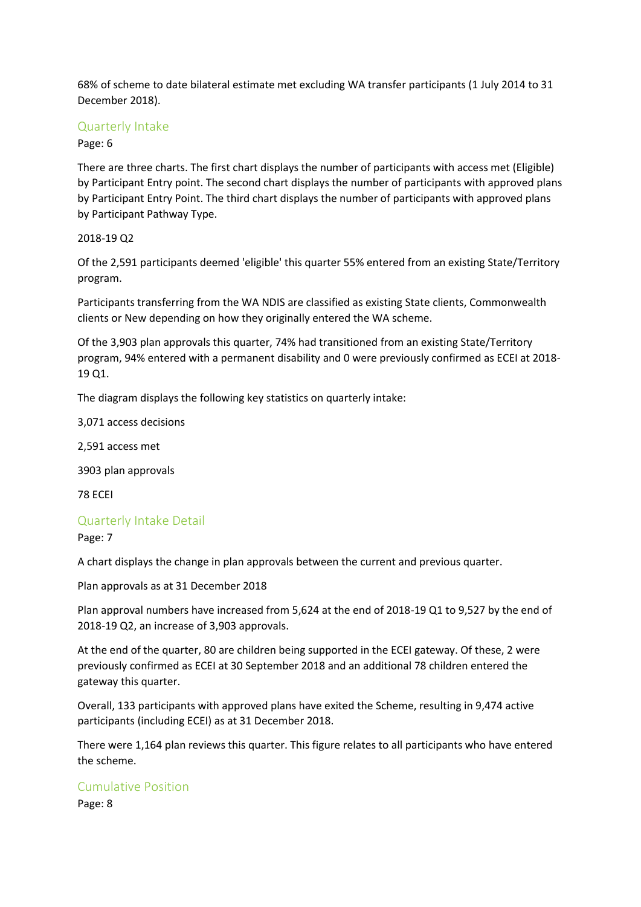68% of scheme to date bilateral estimate met excluding WA transfer participants (1 July 2014 to 31 December 2018).

## Quarterly Intake

Page: 6

There are three charts. The first chart displays the number of participants with access met (Eligible) by Participant Entry point. The second chart displays the number of participants with approved plans by Participant Entry Point. The third chart displays the number of participants with approved plans by Participant Pathway Type.

#### 2018-19 Q2

Of the 2,591 participants deemed 'eligible' this quarter 55% entered from an existing State/Territory program.

Participants transferring from the WA NDIS are classified as existing State clients, Commonwealth clients or New depending on how they originally entered the WA scheme.

Of the 3,903 plan approvals this quarter, 74% had transitioned from an existing State/Territory program, 94% entered with a permanent disability and 0 were previously confirmed as ECEI at 2018- 19 Q1.

The diagram displays the following key statistics on quarterly intake:

3,071 access decisions

2,591 access met

3903 plan approvals

78 ECEI

#### Quarterly Intake Detail

Page: 7

A chart displays the change in plan approvals between the current and previous quarter.

Plan approvals as at 31 December 2018

Plan approval numbers have increased from 5,624 at the end of 2018-19 Q1 to 9,527 by the end of 2018-19 Q2, an increase of 3,903 approvals.

At the end of the quarter, 80 are children being supported in the ECEI gateway. Of these, 2 were previously confirmed as ECEI at 30 September 2018 and an additional 78 children entered the gateway this quarter.

Overall, 133 participants with approved plans have exited the Scheme, resulting in 9,474 active participants (including ECEI) as at 31 December 2018.

There were 1,164 plan reviews this quarter. This figure relates to all participants who have entered the scheme.

# Cumulative Position

Page: 8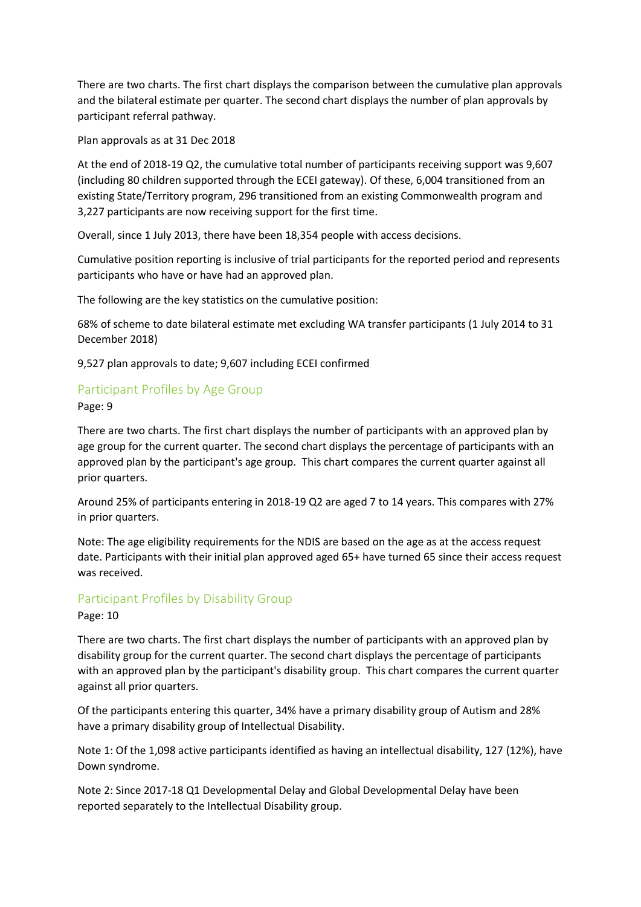There are two charts. The first chart displays the comparison between the cumulative plan approvals and the bilateral estimate per quarter. The second chart displays the number of plan approvals by participant referral pathway.

Plan approvals as at 31 Dec 2018

At the end of 2018-19 Q2, the cumulative total number of participants receiving support was 9,607 (including 80 children supported through the ECEI gateway). Of these, 6,004 transitioned from an existing State/Territory program, 296 transitioned from an existing Commonwealth program and 3,227 participants are now receiving support for the first time.

Overall, since 1 July 2013, there have been 18,354 people with access decisions.

Cumulative position reporting is inclusive of trial participants for the reported period and represents participants who have or have had an approved plan.

The following are the key statistics on the cumulative position:

68% of scheme to date bilateral estimate met excluding WA transfer participants (1 July 2014 to 31 December 2018)

9,527 plan approvals to date; 9,607 including ECEI confirmed

# Participant Profiles by Age Group

Page: 9

There are two charts. The first chart displays the number of participants with an approved plan by age group for the current quarter. The second chart displays the percentage of participants with an approved plan by the participant's age group. This chart compares the current quarter against all prior quarters.

Around 25% of participants entering in 2018-19 Q2 are aged 7 to 14 years. This compares with 27% in prior quarters.

Note: The age eligibility requirements for the NDIS are based on the age as at the access request date. Participants with their initial plan approved aged 65+ have turned 65 since their access request was received.

# Participant Profiles by Disability Group

#### Page: 10

There are two charts. The first chart displays the number of participants with an approved plan by disability group for the current quarter. The second chart displays the percentage of participants with an approved plan by the participant's disability group. This chart compares the current quarter against all prior quarters.

Of the participants entering this quarter, 34% have a primary disability group of Autism and 28% have a primary disability group of Intellectual Disability.

Note 1: Of the 1,098 active participants identified as having an intellectual disability, 127 (12%), have Down syndrome.

Note 2: Since 2017-18 Q1 Developmental Delay and Global Developmental Delay have been reported separately to the Intellectual Disability group.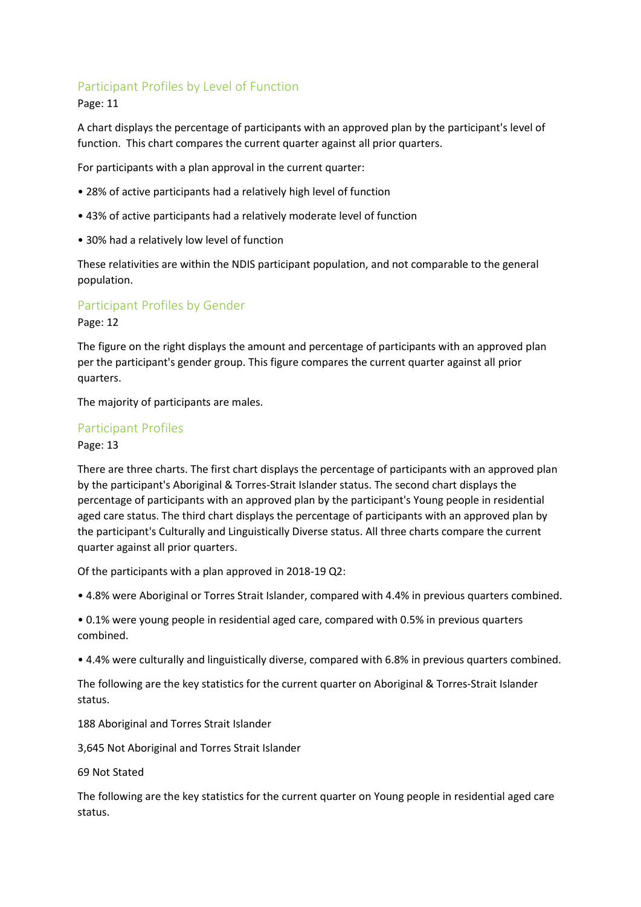# Participant Profiles by Level of Function

#### Page: 11

A chart displays the percentage of participants with an approved plan by the participant's level of function. This chart compares the current quarter against all prior quarters.

For participants with a plan approval in the current quarter:

- 28% of active participants had a relatively high level of function
- 43% of active participants had a relatively moderate level of function
- 30% had a relatively low level of function

These relativities are within the NDIS participant population, and not comparable to the general population.

# Participant Profiles by Gender

Page: 12

The figure on the right displays the amount and percentage of participants with an approved plan per the participant's gender group. This figure compares the current quarter against all prior quarters.

The majority of participants are males.

## Participant Profiles

Page: 13

There are three charts. The first chart displays the percentage of participants with an approved plan by the participant's Aboriginal & Torres-Strait Islander status. The second chart displays the percentage of participants with an approved plan by the participant's Young people in residential aged care status. The third chart displays the percentage of participants with an approved plan by the participant's Culturally and Linguistically Diverse status. All three charts compare the current quarter against all prior quarters.

Of the participants with a plan approved in 2018-19 Q2:

• 4.8% were Aboriginal or Torres Strait Islander, compared with 4.4% in previous quarters combined.

• 0.1% were young people in residential aged care, compared with 0.5% in previous quarters combined.

• 4.4% were culturally and linguistically diverse, compared with 6.8% in previous quarters combined.

The following are the key statistics for the current quarter on Aboriginal & Torres-Strait Islander status.

188 Aboriginal and Torres Strait Islander

3,645 Not Aboriginal and Torres Strait Islander

69 Not Stated

The following are the key statistics for the current quarter on Young people in residential aged care status.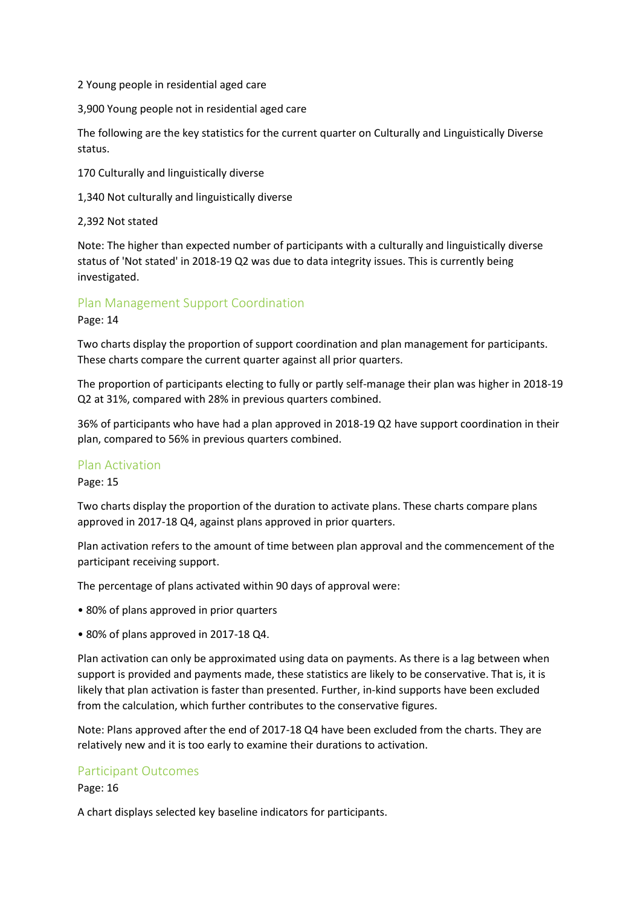2 Young people in residential aged care

3,900 Young people not in residential aged care

The following are the key statistics for the current quarter on Culturally and Linguistically Diverse status.

170 Culturally and linguistically diverse

1,340 Not culturally and linguistically diverse

#### 2,392 Not stated

Note: The higher than expected number of participants with a culturally and linguistically diverse status of 'Not stated' in 2018-19 Q2 was due to data integrity issues. This is currently being investigated.

#### Plan Management Support Coordination

Page: 14

Two charts display the proportion of support coordination and plan management for participants. These charts compare the current quarter against all prior quarters.

The proportion of participants electing to fully or partly self-manage their plan was higher in 2018-19 Q2 at 31%, compared with 28% in previous quarters combined.

36% of participants who have had a plan approved in 2018-19 Q2 have support coordination in their plan, compared to 56% in previous quarters combined.

#### Plan Activation

Page: 15

Two charts display the proportion of the duration to activate plans. These charts compare plans approved in 2017-18 Q4, against plans approved in prior quarters.

Plan activation refers to the amount of time between plan approval and the commencement of the participant receiving support.

The percentage of plans activated within 90 days of approval were:

- 80% of plans approved in prior quarters
- 80% of plans approved in 2017-18 Q4.

Plan activation can only be approximated using data on payments. As there is a lag between when support is provided and payments made, these statistics are likely to be conservative. That is, it is likely that plan activation is faster than presented. Further, in-kind supports have been excluded from the calculation, which further contributes to the conservative figures.

Note: Plans approved after the end of 2017-18 Q4 have been excluded from the charts. They are relatively new and it is too early to examine their durations to activation.

#### Participant Outcomes

Page: 16

A chart displays selected key baseline indicators for participants.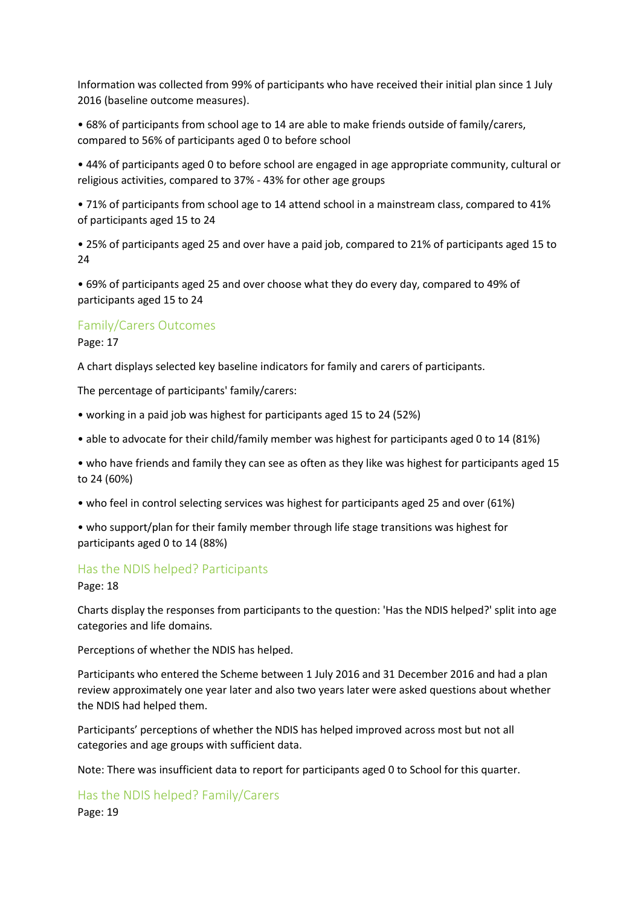Information was collected from 99% of participants who have received their initial plan since 1 July 2016 (baseline outcome measures).

• 68% of participants from school age to 14 are able to make friends outside of family/carers, compared to 56% of participants aged 0 to before school

• 44% of participants aged 0 to before school are engaged in age appropriate community, cultural or religious activities, compared to 37% - 43% for other age groups

• 71% of participants from school age to 14 attend school in a mainstream class, compared to 41% of participants aged 15 to 24

• 25% of participants aged 25 and over have a paid job, compared to 21% of participants aged 15 to 24

• 69% of participants aged 25 and over choose what they do every day, compared to 49% of participants aged 15 to 24

#### Family/Carers Outcomes

Page: 17

A chart displays selected key baseline indicators for family and carers of participants.

The percentage of participants' family/carers:

• working in a paid job was highest for participants aged 15 to 24 (52%)

• able to advocate for their child/family member was highest for participants aged 0 to 14 (81%)

• who have friends and family they can see as often as they like was highest for participants aged 15 to 24 (60%)

• who feel in control selecting services was highest for participants aged 25 and over (61%)

• who support/plan for their family member through life stage transitions was highest for participants aged 0 to 14 (88%)

#### Has the NDIS helped? Participants

Page: 18

Charts display the responses from participants to the question: 'Has the NDIS helped?' split into age categories and life domains.

Perceptions of whether the NDIS has helped.

Participants who entered the Scheme between 1 July 2016 and 31 December 2016 and had a plan review approximately one year later and also two years later were asked questions about whether the NDIS had helped them.

Participants' perceptions of whether the NDIS has helped improved across most but not all categories and age groups with sufficient data.

Note: There was insufficient data to report for participants aged 0 to School for this quarter.

Has the NDIS helped? Family/Carers Page: 19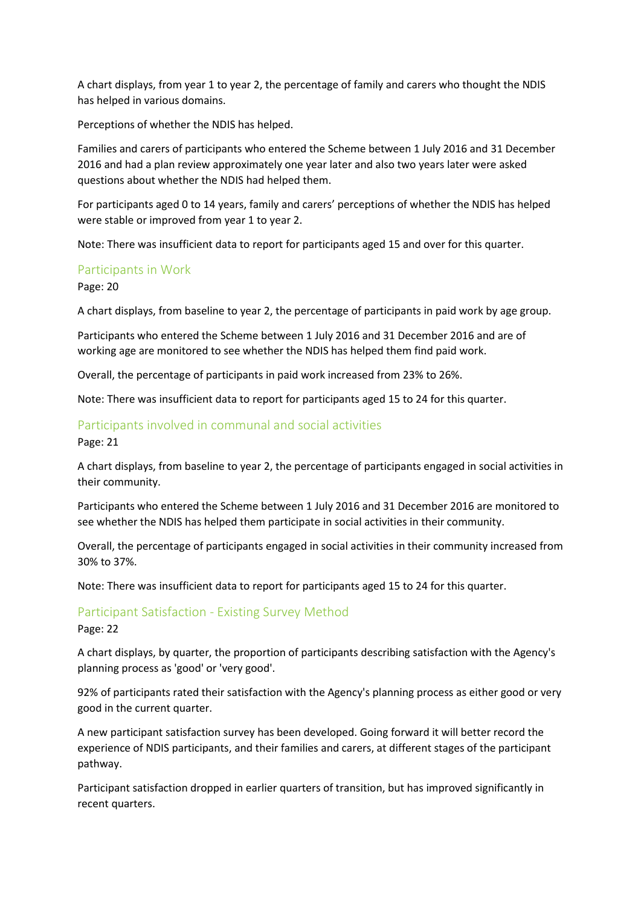A chart displays, from year 1 to year 2, the percentage of family and carers who thought the NDIS has helped in various domains.

Perceptions of whether the NDIS has helped.

Families and carers of participants who entered the Scheme between 1 July 2016 and 31 December 2016 and had a plan review approximately one year later and also two years later were asked questions about whether the NDIS had helped them.

For participants aged 0 to 14 years, family and carers' perceptions of whether the NDIS has helped were stable or improved from year 1 to year 2.

Note: There was insufficient data to report for participants aged 15 and over for this quarter.

#### Participants in Work

Page: 20

A chart displays, from baseline to year 2, the percentage of participants in paid work by age group.

Participants who entered the Scheme between 1 July 2016 and 31 December 2016 and are of working age are monitored to see whether the NDIS has helped them find paid work.

Overall, the percentage of participants in paid work increased from 23% to 26%.

Note: There was insufficient data to report for participants aged 15 to 24 for this quarter.

#### Participants involved in communal and social activities

Page: 21

A chart displays, from baseline to year 2, the percentage of participants engaged in social activities in their community.

Participants who entered the Scheme between 1 July 2016 and 31 December 2016 are monitored to see whether the NDIS has helped them participate in social activities in their community.

Overall, the percentage of participants engaged in social activities in their community increased from 30% to 37%.

Note: There was insufficient data to report for participants aged 15 to 24 for this quarter.

#### Participant Satisfaction - Existing Survey Method

Page: 22

A chart displays, by quarter, the proportion of participants describing satisfaction with the Agency's planning process as 'good' or 'very good'.

92% of participants rated their satisfaction with the Agency's planning process as either good or very good in the current quarter.

A new participant satisfaction survey has been developed. Going forward it will better record the experience of NDIS participants, and their families and carers, at different stages of the participant pathway.

Participant satisfaction dropped in earlier quarters of transition, but has improved significantly in recent quarters.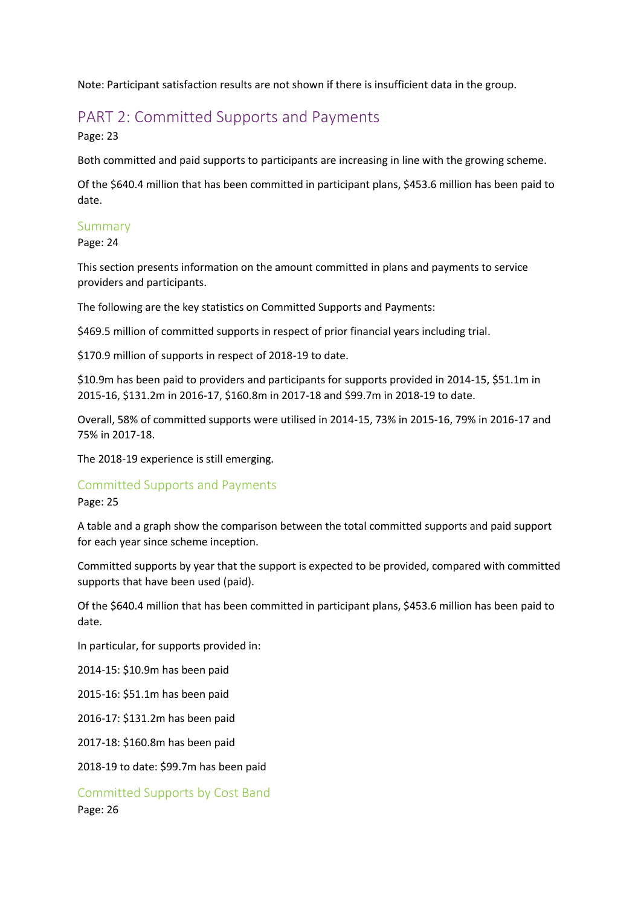Note: Participant satisfaction results are not shown if there is insufficient data in the group.

# PART 2: Committed Supports and Payments

Page: 23

Both committed and paid supports to participants are increasing in line with the growing scheme.

Of the \$640.4 million that has been committed in participant plans, \$453.6 million has been paid to date.

# Summary

Page: 24

This section presents information on the amount committed in plans and payments to service providers and participants.

The following are the key statistics on Committed Supports and Payments:

\$469.5 million of committed supports in respect of prior financial years including trial.

\$170.9 million of supports in respect of 2018-19 to date.

\$10.9m has been paid to providers and participants for supports provided in 2014-15, \$51.1m in 2015-16, \$131.2m in 2016-17, \$160.8m in 2017-18 and \$99.7m in 2018-19 to date.

Overall, 58% of committed supports were utilised in 2014-15, 73% in 2015-16, 79% in 2016-17 and 75% in 2017-18.

The 2018-19 experience is still emerging.

# Committed Supports and Payments

Page: 25

A table and a graph show the comparison between the total committed supports and paid support for each year since scheme inception.

Committed supports by year that the support is expected to be provided, compared with committed supports that have been used (paid).

Of the \$640.4 million that has been committed in participant plans, \$453.6 million has been paid to date.

In particular, for supports provided in:

2014-15: \$10.9m has been paid

2015-16: \$51.1m has been paid

2016-17: \$131.2m has been paid

2017-18: \$160.8m has been paid

2018-19 to date: \$99.7m has been paid

Committed Supports by Cost Band Page: 26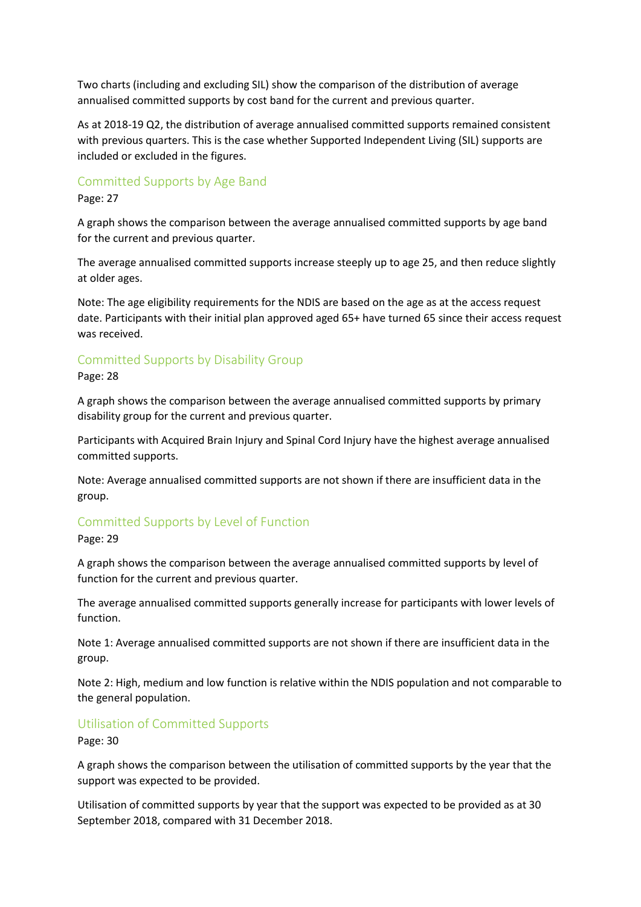Two charts (including and excluding SIL) show the comparison of the distribution of average annualised committed supports by cost band for the current and previous quarter.

As at 2018-19 Q2, the distribution of average annualised committed supports remained consistent with previous quarters. This is the case whether Supported Independent Living (SIL) supports are included or excluded in the figures.

## Committed Supports by Age Band

Page: 27

A graph shows the comparison between the average annualised committed supports by age band for the current and previous quarter.

The average annualised committed supports increase steeply up to age 25, and then reduce slightly at older ages.

Note: The age eligibility requirements for the NDIS are based on the age as at the access request date. Participants with their initial plan approved aged 65+ have turned 65 since their access request was received.

## Committed Supports by Disability Group

Page: 28

A graph shows the comparison between the average annualised committed supports by primary disability group for the current and previous quarter.

Participants with Acquired Brain Injury and Spinal Cord Injury have the highest average annualised committed supports.

Note: Average annualised committed supports are not shown if there are insufficient data in the group.

# Committed Supports by Level of Function

Page: 29

A graph shows the comparison between the average annualised committed supports by level of function for the current and previous quarter.

The average annualised committed supports generally increase for participants with lower levels of function.

Note 1: Average annualised committed supports are not shown if there are insufficient data in the group.

Note 2: High, medium and low function is relative within the NDIS population and not comparable to the general population.

# Utilisation of Committed Supports

Page: 30

A graph shows the comparison between the utilisation of committed supports by the year that the support was expected to be provided.

Utilisation of committed supports by year that the support was expected to be provided as at 30 September 2018, compared with 31 December 2018.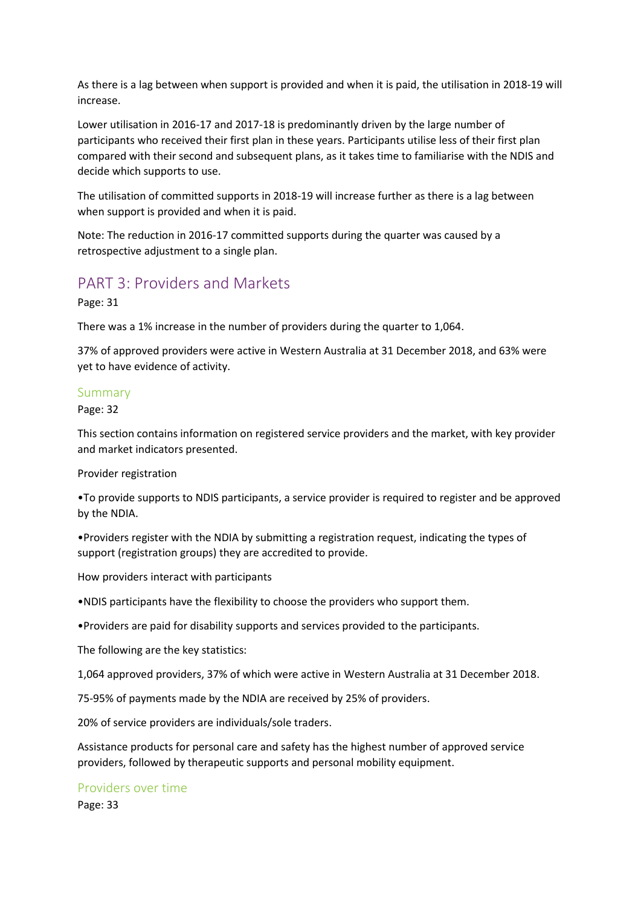As there is a lag between when support is provided and when it is paid, the utilisation in 2018-19 will increase.

Lower utilisation in 2016-17 and 2017-18 is predominantly driven by the large number of participants who received their first plan in these years. Participants utilise less of their first plan compared with their second and subsequent plans, as it takes time to familiarise with the NDIS and decide which supports to use.

The utilisation of committed supports in 2018-19 will increase further as there is a lag between when support is provided and when it is paid.

Note: The reduction in 2016-17 committed supports during the quarter was caused by a retrospective adjustment to a single plan.

# PART 3: Providers and Markets

Page: 31

There was a 1% increase in the number of providers during the quarter to 1,064.

37% of approved providers were active in Western Australia at 31 December 2018, and 63% were yet to have evidence of activity.

#### Summary

Page: 32

This section contains information on registered service providers and the market, with key provider and market indicators presented.

Provider registration

•To provide supports to NDIS participants, a service provider is required to register and be approved by the NDIA.

•Providers register with the NDIA by submitting a registration request, indicating the types of support (registration groups) they are accredited to provide.

How providers interact with participants

•NDIS participants have the flexibility to choose the providers who support them.

•Providers are paid for disability supports and services provided to the participants.

The following are the key statistics:

1,064 approved providers, 37% of which were active in Western Australia at 31 December 2018.

75-95% of payments made by the NDIA are received by 25% of providers.

20% of service providers are individuals/sole traders.

Assistance products for personal care and safety has the highest number of approved service providers, followed by therapeutic supports and personal mobility equipment.

#### Providers over time

Page: 33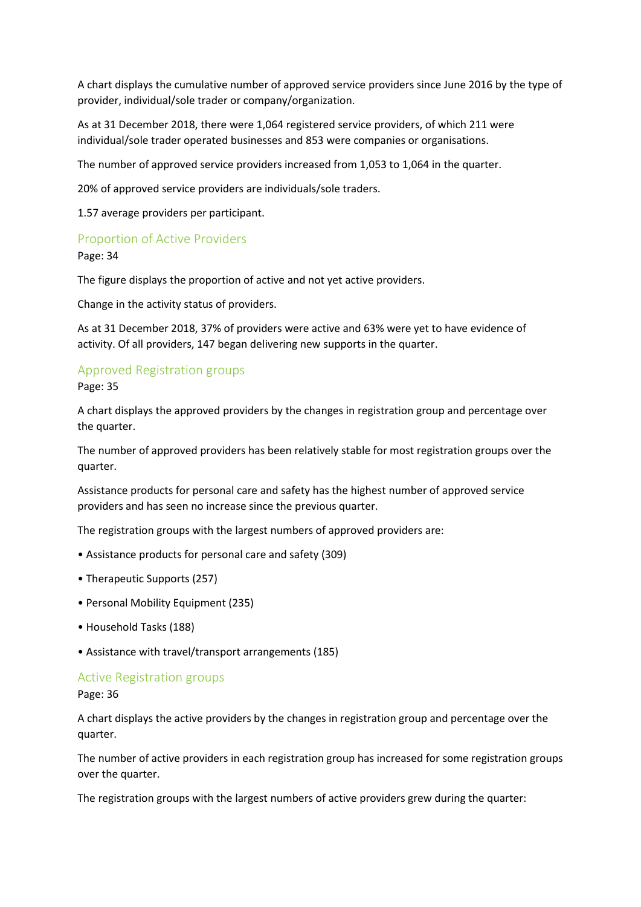A chart displays the cumulative number of approved service providers since June 2016 by the type of provider, individual/sole trader or company/organization.

As at 31 December 2018, there were 1,064 registered service providers, of which 211 were individual/sole trader operated businesses and 853 were companies or organisations.

The number of approved service providers increased from 1,053 to 1,064 in the quarter.

20% of approved service providers are individuals/sole traders.

1.57 average providers per participant.

## Proportion of Active Providers

Page: 34

The figure displays the proportion of active and not yet active providers.

Change in the activity status of providers.

As at 31 December 2018, 37% of providers were active and 63% were yet to have evidence of activity. Of all providers, 147 began delivering new supports in the quarter.

# Approved Registration groups

Page: 35

A chart displays the approved providers by the changes in registration group and percentage over the quarter.

The number of approved providers has been relatively stable for most registration groups over the quarter.

Assistance products for personal care and safety has the highest number of approved service providers and has seen no increase since the previous quarter.

The registration groups with the largest numbers of approved providers are:

- Assistance products for personal care and safety (309)
- Therapeutic Supports (257)
- Personal Mobility Equipment (235)
- Household Tasks (188)
- Assistance with travel/transport arrangements (185)

#### Active Registration groups

Page: 36

A chart displays the active providers by the changes in registration group and percentage over the quarter.

The number of active providers in each registration group has increased for some registration groups over the quarter.

The registration groups with the largest numbers of active providers grew during the quarter: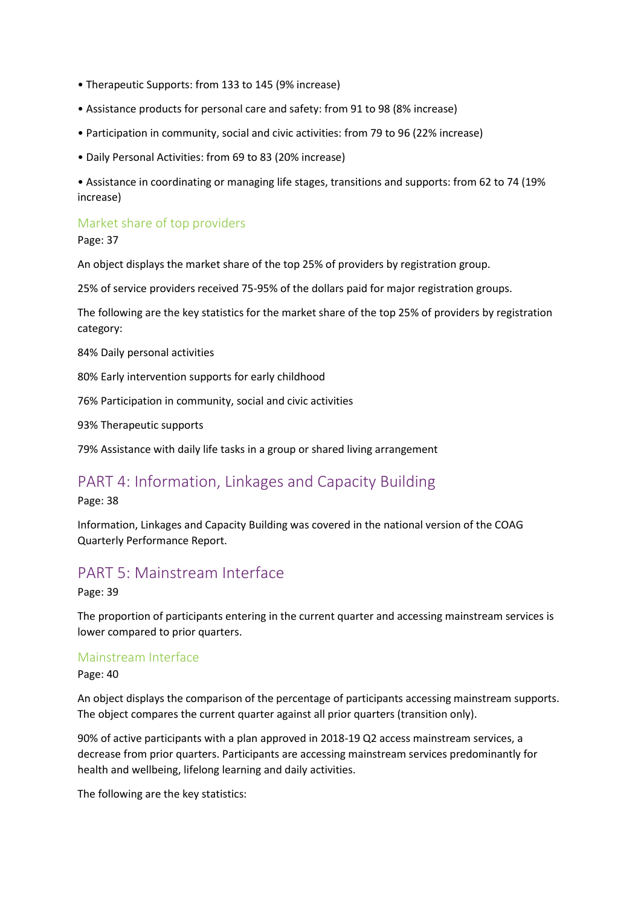- Therapeutic Supports: from 133 to 145 (9% increase)
- Assistance products for personal care and safety: from 91 to 98 (8% increase)
- Participation in community, social and civic activities: from 79 to 96 (22% increase)
- Daily Personal Activities: from 69 to 83 (20% increase)

• Assistance in coordinating or managing life stages, transitions and supports: from 62 to 74 (19% increase)

# Market share of top providers

Page: 37

An object displays the market share of the top 25% of providers by registration group.

25% of service providers received 75-95% of the dollars paid for major registration groups.

The following are the key statistics for the market share of the top 25% of providers by registration category:

84% Daily personal activities

80% Early intervention supports for early childhood

76% Participation in community, social and civic activities

93% Therapeutic supports

79% Assistance with daily life tasks in a group or shared living arrangement

# PART 4: Information, Linkages and Capacity Building

Page: 38

Information, Linkages and Capacity Building was covered in the national version of the COAG Quarterly Performance Report.

# PART 5: Mainstream Interface

#### Page: 39

The proportion of participants entering in the current quarter and accessing mainstream services is lower compared to prior quarters.

## Mainstream Interface

Page: 40

An object displays the comparison of the percentage of participants accessing mainstream supports. The object compares the current quarter against all prior quarters (transition only).

90% of active participants with a plan approved in 2018-19 Q2 access mainstream services, a decrease from prior quarters. Participants are accessing mainstream services predominantly for health and wellbeing, lifelong learning and daily activities.

The following are the key statistics: